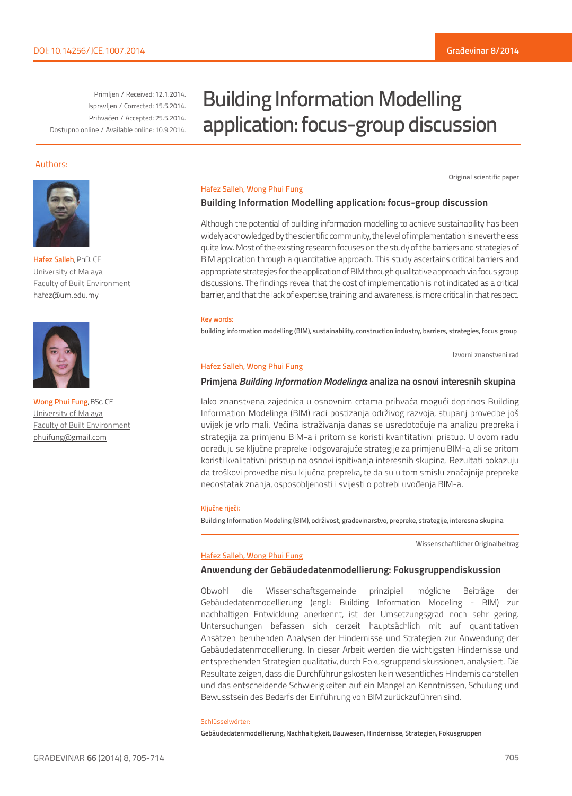Original scientific paper

Primljen / Received: 12.1.2014. Ispravljen / Corrected: 15.5.2014. Prihvaćen / Accepted: 25.5.2014. Dostupno online / Available online: 10.9.2014.

# Building Information Modelling application: focus-group discussion

#### Authors:



Hafez Salleh, PhD. CE University of Malaya Faculty of Built Environment hafez@um.edu.my



Wong Phui Fung, BSc. CE University of Malaya Faculty of Built Environment phuifung@gmail.com

#### Hafez Salleh, Wong Phui Fung

#### **Building Information Modelling application: focus-group discussion**

Although the potential of building information modelling to achieve sustainability has been widely acknowledged by the scientific community, the level of implementation is nevertheless quite low. Most of the existing research focuses on the study of the barriers and strategies of BIM application through a quantitative approach. This study ascertains critical barriers and appropriate strategies for the application of BIM through qualitative approach via focus group discussions. The findings reveal that the cost of implementation is not indicated as a critical barrier, and that the lack of expertise, training, and awareness, is more critical in that respect.

#### Key words:

building information modelling (BIM), sustainability, construction industry, barriers, strategies, focus group

Izvorni znanstveni rad

#### Hafez Salleh, Wong Phui Fung

#### **Primjena** *Building Information Modelinga***: analiza na osnovi interesnih skupina**

Iako znanstvena zajednica u osnovnim crtama prihvaća mogući doprinos Building Information Modelinga (BIM) radi postizanja održivog razvoja, stupanj provedbe još uvijek je vrlo mali. Većina istraživanja danas se usredotočuje na analizu prepreka i strategija za primjenu BIM-a i pritom se koristi kvantitativni pristup. U ovom radu određuju se ključne prepreke i odgovarajuće strategije za primjenu BIM-a, ali se pritom koristi kvalitativni pristup na osnovi ispitivanja interesnih skupina. Rezultati pokazuju da troškovi provedbe nisu ključna prepreka, te da su u tom smislu značajnije prepreke nedostatak znanja, osposobljenosti i svijesti o potrebi uvođenja BIM-a.

#### Ključne riječi:

Building Information Modeling (BIM), održivost, građevinarstvo, prepreke, strategije, interesna skupina

Wissenschaftlicher Originalbeitrag

#### Hafez Salleh, Wong Phui Fung

#### **Anwendung der Gebäudedatenmodellierung: Fokusgruppendiskussion**

Obwohl die Wissenschaftsgemeinde prinzipiell mögliche Beiträge der Gebäudedatenmodellierung (engl.: Building Information Modeling - BIM) zur nachhaltigen Entwicklung anerkennt, ist der Umsetzungsgrad noch sehr gering. Untersuchungen befassen sich derzeit hauptsächlich mit auf quantitativen Ansätzen beruhenden Analysen der Hindernisse und Strategien zur Anwendung der Gebäudedatenmodellierung. In dieser Arbeit werden die wichtigsten Hindernisse und entsprechenden Strategien qualitativ, durch Fokusgruppendiskussionen, analysiert. Die Resultate zeigen, dass die Durchführungskosten kein wesentliches Hindernis darstellen und das entscheidende Schwierigkeiten auf ein Mangel an Kenntnissen, Schulung und Bewusstsein des Bedarfs der Einführung von BIM zurückzuführen sind.

#### Schlüsselwörter:

Gebäudedatenmodellierung, Nachhaltigkeit, Bauwesen, Hindernisse, Strategien, Fokusgruppen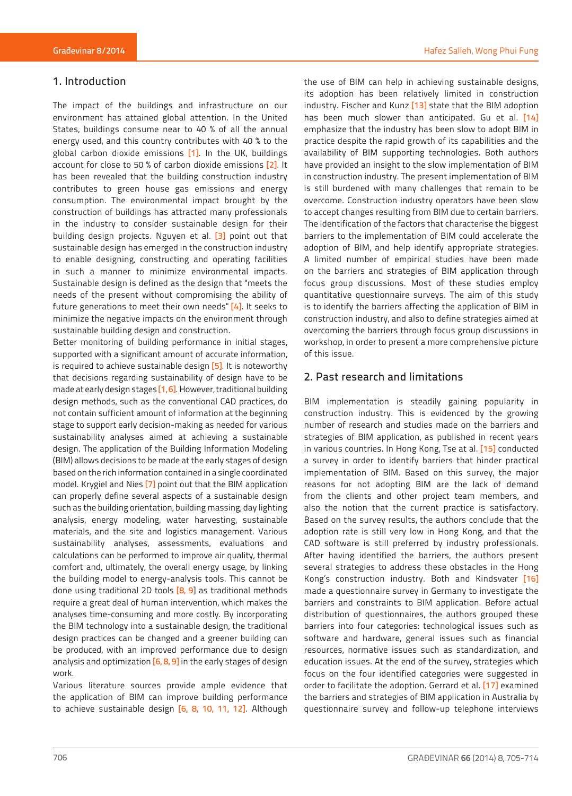## 1. Introduction

The impact of the buildings and infrastructure on our environment has attained global attention. In the United States, buildings consume near to 40 % of all the annual energy used, and this country contributes with 40 % to the global carbon dioxide emissions [1]. In the UK, buildings account for close to 50 % of carbon dioxide emissions [2]. It has been revealed that the building construction industry contributes to green house gas emissions and energy consumption. The environmental impact brought by the construction of buildings has attracted many professionals in the industry to consider sustainable design for their building design projects. Nguyen et al. [3] point out that sustainable design has emerged in the construction industry to enable designing, constructing and operating facilities in such a manner to minimize environmental impacts. Sustainable design is defined as the design that "meets the needs of the present without compromising the ability of future generations to meet their own needs" [4]. It seeks to minimize the negative impacts on the environment through sustainable building design and construction.

Better monitoring of building performance in initial stages, supported with a significant amount of accurate information, is required to achieve sustainable design [5]. It is noteworthy that decisions regarding sustainability of design have to be made at early design stages [1, 6]. However, traditional building design methods, such as the conventional CAD practices, do not contain sufficient amount of information at the beginning stage to support early decision-making as needed for various sustainability analyses aimed at achieving a sustainable design. The application of the Building Information Modeling (BIM) allows decisions to be made at the early stages of design based on the rich information contained in a single coordinated model. Krygiel and Nies [7] point out that the BIM application can properly define several aspects of a sustainable design such as the building orientation, building massing, day lighting analysis, energy modeling, water harvesting, sustainable materials, and the site and logistics management. Various sustainability analyses, assessments, evaluations and calculations can be performed to improve air quality, thermal comfort and, ultimately, the overall energy usage, by linking the building model to energy-analysis tools. This cannot be done using traditional 2D tools [8, 9] as traditional methods require a great deal of human intervention, which makes the analyses time-consuming and more costly. By incorporating the BIM technology into a sustainable design, the traditional design practices can be changed and a greener building can be produced, with an improved performance due to design analysis and optimization [6, 8, 9] in the early stages of design work.

Various literature sources provide ample evidence that the application of BIM can improve building performance to achieve sustainable design [6, 8, 10, 11, 12]. Although

the use of BIM can help in achieving sustainable designs, its adoption has been relatively limited in construction industry. Fischer and Kunz [13] state that the BIM adoption has been much slower than anticipated. Gu et al. [14] emphasize that the industry has been slow to adopt BIM in practice despite the rapid growth of its capabilities and the availability of BIM supporting technologies. Both authors have provided an insight to the slow implementation of BIM in construction industry. The present implementation of BIM is still burdened with many challenges that remain to be overcome. Construction industry operators have been slow to accept changes resulting from BIM due to certain barriers. The identification of the factors that characterise the biggest barriers to the implementation of BIM could accelerate the adoption of BIM, and help identify appropriate strategies. A limited number of empirical studies have been made on the barriers and strategies of BIM application through focus group discussions. Most of these studies employ quantitative questionnaire surveys. The aim of this study is to identify the barriers affecting the application of BIM in construction industry, and also to define strategies aimed at overcoming the barriers through focus group discussions in workshop, in order to present a more comprehensive picture of this issue.

## 2. Past research and limitations

BIM implementation is steadily gaining popularity in construction industry. This is evidenced by the growing number of research and studies made on the barriers and strategies of BIM application, as published in recent years in various countries. In Hong Kong, Tse at al. [15] conducted a survey in order to identify barriers that hinder practical implementation of BIM. Based on this survey, the major reasons for not adopting BIM are the lack of demand from the clients and other project team members, and also the notion that the current practice is satisfactory. Based on the survey results, the authors conclude that the adoption rate is still very low in Hong Kong, and that the CAD software is still preferred by industry professionals. After having identified the barriers, the authors present several strategies to address these obstacles in the Hong Kong's construction industry. Both and Kindsvater [16] made a questionnaire survey in Germany to investigate the barriers and constraints to BIM application. Before actual distribution of questionnaires, the authors grouped these barriers into four categories: technological issues such as software and hardware, general issues such as financial resources, normative issues such as standardization, and education issues. At the end of the survey, strategies which focus on the four identified categories were suggested in order to facilitate the adoption. Gerrard et al. [17] examined the barriers and strategies of BIM application in Australia by questionnaire survey and follow-up telephone interviews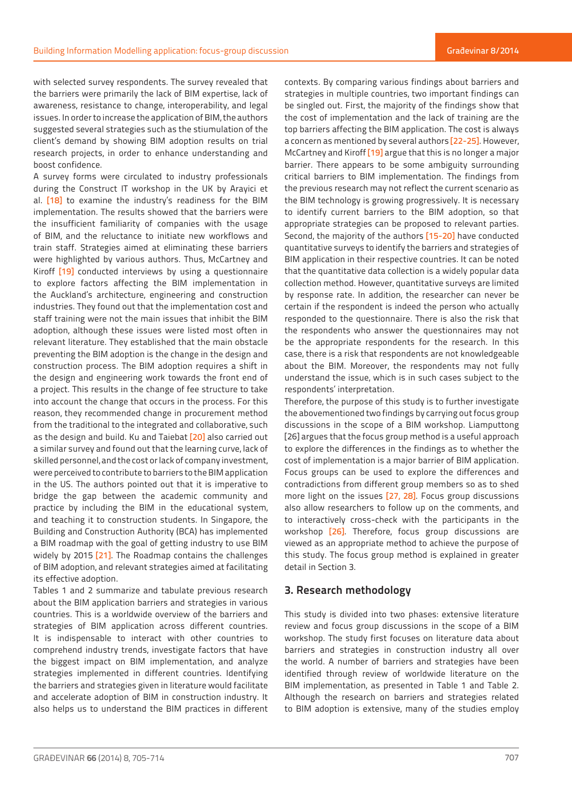with selected survey respondents. The survey revealed that the barriers were primarily the lack of BIM expertise, lack of awareness, resistance to change, interoperability, and legal issues. In order to increase the application of BIM, the authors suggested several strategies such as the stiumulation of the client's demand by showing BIM adoption results on trial research projects, in order to enhance understanding and boost confidence.

A survey forms were circulated to industry professionals during the Construct IT workshop in the UK by Arayici et al. [18] to examine the industry's readiness for the BIM implementation. The results showed that the barriers were the insufficient familiarity of companies with the usage of BIM, and the reluctance to initiate new workflows and train staff. Strategies aimed at eliminating these barriers were highlighted by various authors. Thus, McCartney and Kiroff [19] conducted interviews by using a questionnaire to explore factors affecting the BIM implementation in the Auckland's architecture, engineering and construction industries. They found out that the implementation cost and staff training were not the main issues that inhibit the BIM adoption, although these issues were listed most often in relevant literature. They established that the main obstacle preventing the BIM adoption is the change in the design and construction process. The BIM adoption requires a shift in the design and engineering work towards the front end of a project. This results in the change of fee structure to take into account the change that occurs in the process. For this reason, they recommended change in procurement method from the traditional to the integrated and collaborative, such as the design and build. Ku and Taiebat [20] also carried out a similar survey and found out that the learning curve, lack of skilled personnel, and the cost or lack of company investment, were perceived to contribute to barriers to the BIM application in the US. The authors pointed out that it is imperative to bridge the gap between the academic community and practice by including the BIM in the educational system, and teaching it to construction students. In Singapore, the Building and Construction Authority (BCA) has implemented a BIM roadmap with the goal of getting industry to use BIM widely by 2015 [21]. The Roadmap contains the challenges of BIM adoption, and relevant strategies aimed at facilitating its effective adoption.

Tables 1 and 2 summarize and tabulate previous research about the BIM application barriers and strategies in various countries. This is a worldwide overview of the barriers and strategies of BIM application across different countries. It is indispensable to interact with other countries to comprehend industry trends, investigate factors that have the biggest impact on BIM implementation, and analyze strategies implemented in different countries. Identifying the barriers and strategies given in literature would facilitate and accelerate adoption of BIM in construction industry. It also helps us to understand the BIM practices in different contexts. By comparing various findings about barriers and strategies in multiple countries, two important findings can be singled out. First, the majority of the findings show that the cost of implementation and the lack of training are the top barriers affecting the BIM application. The cost is always a concern as mentioned by several authors [22-25]. However, McCartney and Kiroff [19] argue that this is no longer a major barrier. There appears to be some ambiguity surrounding critical barriers to BIM implementation. The findings from the previous research may not reflect the current scenario as the BIM technology is growing progressively. It is necessary to identify current barriers to the BIM adoption, so that appropriate strategies can be proposed to relevant parties. Second, the majority of the authors [15-20] have conducted quantitative surveys to identify the barriers and strategies of BIM application in their respective countries. It can be noted that the quantitative data collection is a widely popular data collection method. However, quantitative surveys are limited by response rate. In addition, the researcher can never be certain if the respondent is indeed the person who actually responded to the questionnaire. There is also the risk that the respondents who answer the questionnaires may not be the appropriate respondents for the research. In this case, there is a risk that respondents are not knowledgeable about the BIM. Moreover, the respondents may not fully understand the issue, which is in such cases subject to the respondents' interpretation.

Therefore, the purpose of this study is to further investigate the abovementioned two findings by carrying out focus group discussions in the scope of a BIM workshop. Liamputtong [26] argues that the focus group method is a useful approach to explore the differences in the findings as to whether the cost of implementation is a major barrier of BIM application. Focus groups can be used to explore the differences and contradictions from different group members so as to shed more light on the issues [27, 28]. Focus group discussions also allow researchers to follow up on the comments, and to interactively cross-check with the participants in the workshop [26]. Therefore, focus group discussions are viewed as an appropriate method to achieve the purpose of this study. The focus group method is explained in greater detail in Section 3.

## **3. Research methodology**

This study is divided into two phases: extensive literature review and focus group discussions in the scope of a BIM workshop. The study first focuses on literature data about barriers and strategies in construction industry all over the world. A number of barriers and strategies have been identified through review of worldwide literature on the BIM implementation, as presented in Table 1 and Table 2. Although the research on barriers and strategies related to BIM adoption is extensive, many of the studies employ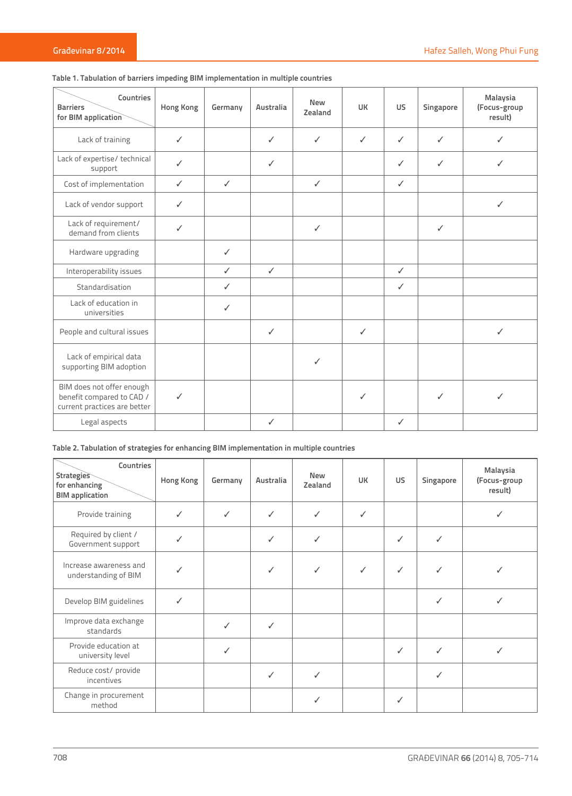| Countries<br><b>Barriers</b><br>for BIM application                                    | <b>Hong Kong</b> | Germany      | Australia    | <b>New</b><br>Zealand | UК           | <b>US</b>    | Singapore    | Malaysia<br>(Focus-group<br>result) |
|----------------------------------------------------------------------------------------|------------------|--------------|--------------|-----------------------|--------------|--------------|--------------|-------------------------------------|
| Lack of training                                                                       | $\checkmark$     |              | ✓            | $\checkmark$          | $\checkmark$ | $\checkmark$ | J            | ℐ                                   |
| Lack of expertise/ technical<br>support                                                | ✓                |              | ✓            |                       |              | ✓            | ✓            | ✓                                   |
| Cost of implementation                                                                 | ✓                | $\checkmark$ |              | $\checkmark$          |              | $\checkmark$ |              |                                     |
| Lack of vendor support                                                                 | ✓                |              |              |                       |              |              |              | ✓                                   |
| Lack of requirement/<br>demand from clients                                            | $\checkmark$     |              |              | $\checkmark$          |              |              | $\checkmark$ |                                     |
| Hardware upgrading                                                                     |                  | $\checkmark$ |              |                       |              |              |              |                                     |
| Interoperability issues                                                                |                  | $\checkmark$ | $\checkmark$ |                       |              | $\checkmark$ |              |                                     |
| Standardisation                                                                        |                  | ✓            |              |                       |              | ✓            |              |                                     |
| Lack of education in<br>universities                                                   |                  | $\checkmark$ |              |                       |              |              |              |                                     |
| People and cultural issues                                                             |                  |              | ✓            |                       | ✓            |              |              | ✓                                   |
| Lack of empirical data<br>supporting BIM adoption                                      |                  |              |              | ✓                     |              |              |              |                                     |
| BIM does not offer enough<br>benefit compared to CAD /<br>current practices are better | $\checkmark$     |              |              |                       | $\checkmark$ |              | ✓            | ℐ                                   |
| Legal aspects                                                                          |                  |              | ✓            |                       |              | ✓            |              |                                     |

# **Table 1. Tabulation of barriers impeding BIM implementation in multiple countries**

## **Table 2. Tabulation of strategies for enhancing BIM implementation in multiple countries**

| Countries<br><b>Strategies</b><br>for enhancing<br><b>BIM</b> application | Hong Kong | Germany      | Australia | <b>New</b><br>Zealand | <b>UK</b> | US.          | Singapore | Malaysia<br>(Focus-group<br>result) |
|---------------------------------------------------------------------------|-----------|--------------|-----------|-----------------------|-----------|--------------|-----------|-------------------------------------|
| Provide training                                                          | ✓         | $\checkmark$ | ✓         | ✓                     | √         |              |           |                                     |
| Required by client /<br>Government support                                | ✓         |              | ✓         | ✓                     |           | ✓            | ✓         |                                     |
| Increase awareness and<br>understanding of BIM                            |           |              | ✓         | ✓                     |           | ✓            | ✓         |                                     |
| Develop BIM guidelines                                                    | ✓         |              |           |                       |           |              | ✓         |                                     |
| Improve data exchange<br>standards                                        |           | ✓            | ✓         |                       |           |              |           |                                     |
| Provide education at<br>university level                                  |           | $\checkmark$ |           |                       |           | $\checkmark$ | ✓         |                                     |
| Reduce cost/ provide<br>incentives                                        |           |              | ✓         | ✓                     |           |              | ✓         |                                     |
| Change in procurement<br>method                                           |           |              |           | ✓                     |           | ✓            |           |                                     |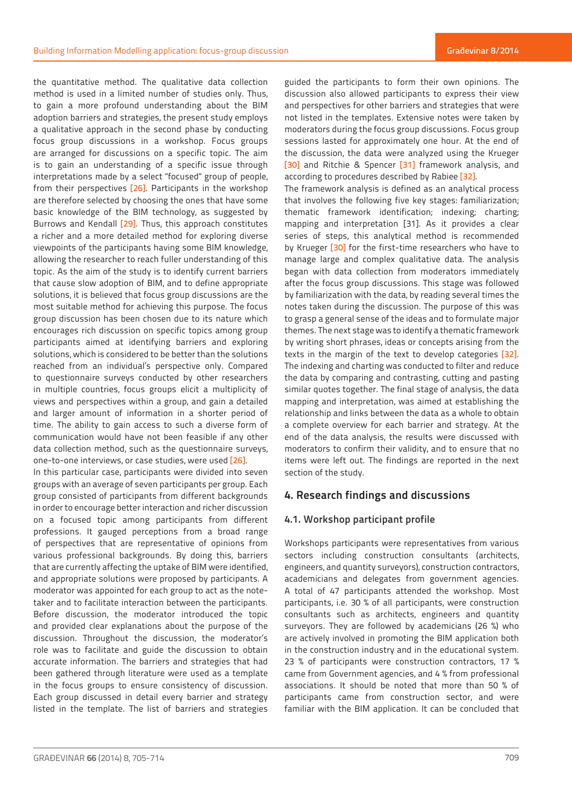the quantitative method. The qualitative data collection method is used in a limited number of studies only. Thus, to gain a more profound understanding about the BIM adoption barriers and strategies, the present study employs a qualitative approach in the second phase by conducting focus group discussions in a workshop. Focus groups are arranged for discussions on a specific topic. The aim is to gain an understanding of a specific issue through interpretations made by a select "focused" group of people, from their perspectives [26]. Participants in the workshop are therefore selected by choosing the ones that have some basic knowledge of the BIM technology, as suggested by Burrows and Kendall [29]. Thus, this approach constitutes a richer and a more detailed method for exploring diverse viewpoints of the participants having some BIM knowledge, allowing the researcher to reach fuller understanding of this topic. As the aim of the study is to identify current barriers that cause slow adoption of BIM, and to define appropriate solutions, it is believed that focus group discussions are the most suitable method for achieving this purpose. The focus group discussion has been chosen due to its nature which encourages rich discussion on specific topics among group participants aimed at identifying barriers and exploring solutions, which is considered to be better than the solutions reached from an individual's perspective only. Compared to questionnaire surveys conducted by other researchers in multiple countries, focus groups elicit a multiplicity of views and perspectives within a group, and gain a detailed and larger amount of information in a shorter period of time. The ability to gain access to such a diverse form of communication would have not been feasible if any other data collection method, such as the questionnaire surveys, one-to-one interviews, or case studies, were used [26].

In this particular case, participants were divided into seven groups with an average of seven participants per group. Each group consisted of participants from different backgrounds in order to encourage better interaction and richer discussion on a focused topic among participants from different professions. It gauged perceptions from a broad range of perspectives that are representative of opinions from various professional backgrounds. By doing this, barriers that are currently affecting the uptake of BIM were identified, and appropriate solutions were proposed by participants. A moderator was appointed for each group to act as the notetaker and to facilitate interaction between the participants. Before discussion, the moderator introduced the topic and provided clear explanations about the purpose of the discussion. Throughout the discussion, the moderator's role was to facilitate and guide the discussion to obtain accurate information. The barriers and strategies that had been gathered through literature were used as a template in the focus groups to ensure consistency of discussion. Each group discussed in detail every barrier and strategy listed in the template. The list of barriers and strategies guided the participants to form their own opinions. The discussion also allowed participants to express their view and perspectives for other barriers and strategies that were not listed in the templates. Extensive notes were taken by moderators during the focus group discussions. Focus group sessions lasted for approximately one hour. At the end of the discussion, the data were analyzed using the Krueger [30] and Ritchie & Spencer [31] framework analysis, and according to procedures described by Rabiee [32].

The framework analysis is defined as an analytical process that involves the following five key stages: familiarization; thematic framework identification; indexing; charting; mapping and interpretation [31]. As it provides a clear series of steps, this analytical method is recommended by Krueger [30] for the first-time researchers who have to manage large and complex qualitative data. The analysis began with data collection from moderators immediately after the focus group discussions. This stage was followed by familiarization with the data, by reading several times the notes taken during the discussion. The purpose of this was to grasp a general sense of the ideas and to formulate major themes. The next stage was to identify a thematic framework by writing short phrases, ideas or concepts arising from the texts in the margin of the text to develop categories [32]. The indexing and charting was conducted to filter and reduce the data by comparing and contrasting, cutting and pasting similar quotes together. The final stage of analysis, the data mapping and interpretation, was aimed at establishing the relationship and links between the data as a whole to obtain a complete overview for each barrier and strategy. At the end of the data analysis, the results were discussed with moderators to confirm their validity, and to ensure that no items were left out. The findings are reported in the next section of the study.

## **4. Research findings and discussions**

## **4.1. Workshop participant profile**

Workshops participants were representatives from various sectors including construction consultants (architects, engineers, and quantity surveyors), construction contractors, academicians and delegates from government agencies. A total of 47 participants attended the workshop. Most participants, i.e. 30 % of all participants, were construction consultants such as architects, engineers and quantity surveyors. They are followed by academicians (26 %) who are actively involved in promoting the BIM application both in the construction industry and in the educational system. 23 % of participants were construction contractors, 17 % came from Government agencies, and 4 % from professional associations. It should be noted that more than 50 % of participants came from construction sector, and were familiar with the BIM application. It can be concluded that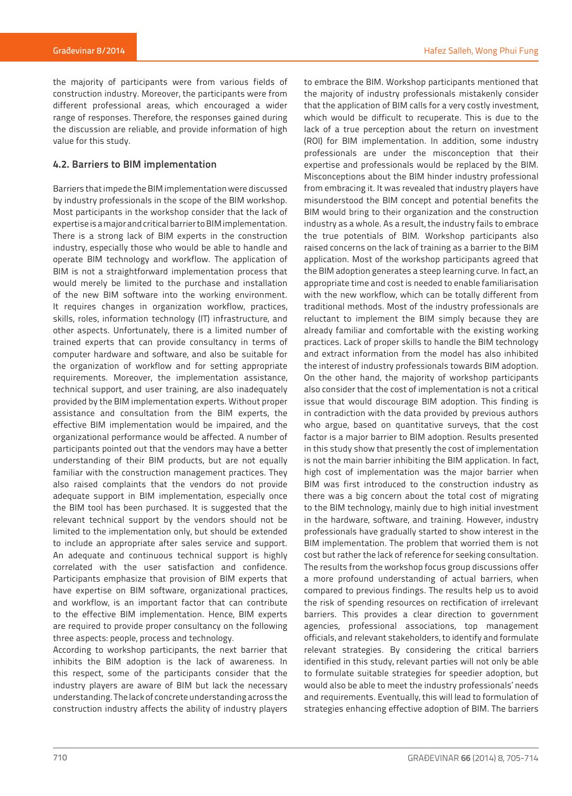the majority of participants were from various fields of construction industry. Moreover, the participants were from different professional areas, which encouraged a wider range of responses. Therefore, the responses gained during the discussion are reliable, and provide information of high value for this study.

## **4.2. Barriers to BIM implementation**

Barriers that impede the BIM implementation were discussed by industry professionals in the scope of the BIM workshop. Most participants in the workshop consider that the lack of expertise is a major and critical barrier to BIM implementation. There is a strong lack of BIM experts in the construction industry, especially those who would be able to handle and operate BIM technology and workflow. The application of BIM is not a straightforward implementation process that would merely be limited to the purchase and installation of the new BIM software into the working environment. It requires changes in organization workflow, practices, skills, roles, information technology (IT) infrastructure, and other aspects. Unfortunately, there is a limited number of trained experts that can provide consultancy in terms of computer hardware and software, and also be suitable for the organization of workflow and for setting appropriate requirements. Moreover, the implementation assistance, technical support, and user training, are also inadequately provided by the BIM implementation experts. Without proper assistance and consultation from the BIM experts, the effective BIM implementation would be impaired, and the organizational performance would be affected. A number of participants pointed out that the vendors may have a better understanding of their BIM products, but are not equally familiar with the construction management practices. They also raised complaints that the vendors do not provide adequate support in BIM implementation, especially once the BIM tool has been purchased. It is suggested that the relevant technical support by the vendors should not be limited to the implementation only, but should be extended to include an appropriate after sales service and support. An adequate and continuous technical support is highly correlated with the user satisfaction and confidence. Participants emphasize that provision of BIM experts that have expertise on BIM software, organizational practices, and workflow, is an important factor that can contribute to the effective BIM implementation. Hence, BIM experts are required to provide proper consultancy on the following three aspects: people, process and technology.

According to workshop participants, the next barrier that inhibits the BIM adoption is the lack of awareness. In this respect, some of the participants consider that the industry players are aware of BIM but lack the necessary understanding. The lack of concrete understanding across the construction industry affects the ability of industry players

to embrace the BIM. Workshop participants mentioned that the majority of industry professionals mistakenly consider that the application of BIM calls for a very costly investment, which would be difficult to recuperate. This is due to the lack of a true perception about the return on investment (ROI) for BIM implementation. In addition, some industry professionals are under the misconception that their expertise and professionals would be replaced by the BIM. Misconceptions about the BIM hinder industry professional from embracing it. It was revealed that industry players have misunderstood the BIM concept and potential benefits the BIM would bring to their organization and the construction industry as a whole. As a result, the industry fails to embrace the true potentials of BIM. Workshop participants also raised concerns on the lack of training as a barrier to the BIM application. Most of the workshop participants agreed that the BIM adoption generates a steep learning curve. In fact, an appropriate time and cost is needed to enable familiarisation with the new workflow, which can be totally different from traditional methods. Most of the industry professionals are reluctant to implement the BIM simply because they are already familiar and comfortable with the existing working practices. Lack of proper skills to handle the BIM technology and extract information from the model has also inhibited the interest of industry professionals towards BIM adoption. On the other hand, the majority of workshop participants also consider that the cost of implementation is not a critical issue that would discourage BIM adoption. This finding is in contradiction with the data provided by previous authors who argue, based on quantitative surveys, that the cost factor is a major barrier to BIM adoption. Results presented in this study show that presently the cost of implementation is not the main barrier inhibiting the BIM application. In fact, high cost of implementation was the major barrier when BIM was first introduced to the construction industry as there was a big concern about the total cost of migrating to the BIM technology, mainly due to high initial investment in the hardware, software, and training. However, industry professionals have gradually started to show interest in the BIM implementation. The problem that worried them is not cost but rather the lack of reference for seeking consultation. The results from the workshop focus group discussions offer a more profound understanding of actual barriers, when compared to previous findings. The results help us to avoid the risk of spending resources on rectification of irrelevant barriers. This provides a clear direction to government agencies, professional associations, top management officials, and relevant stakeholders, to identify and formulate relevant strategies. By considering the critical barriers identified in this study, relevant parties will not only be able to formulate suitable strategies for speedier adoption, but would also be able to meet the industry professionals' needs and requirements. Eventually, this will lead to formulation of strategies enhancing effective adoption of BIM. The barriers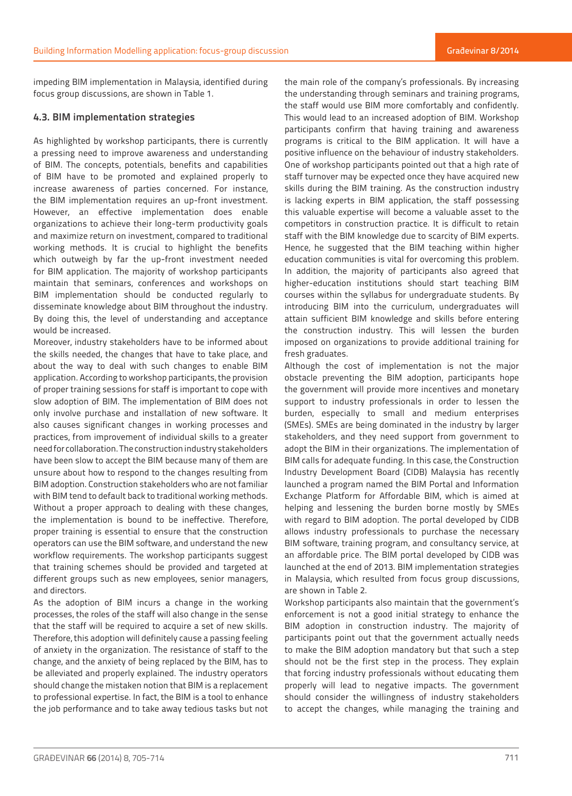impeding BIM implementation in Malaysia, identified during focus group discussions, are shown in Table 1.

## **4.3. BIM implementation strategies**

As highlighted by workshop participants, there is currently a pressing need to improve awareness and understanding of BIM. The concepts, potentials, benefits and capabilities of BIM have to be promoted and explained properly to increase awareness of parties concerned. For instance, the BIM implementation requires an up-front investment. However, an effective implementation does enable organizations to achieve their long-term productivity goals and maximize return on investment, compared to traditional working methods. It is crucial to highlight the benefits which outweigh by far the up-front investment needed for BIM application. The majority of workshop participants maintain that seminars, conferences and workshops on BIM implementation should be conducted regularly to disseminate knowledge about BIM throughout the industry. By doing this, the level of understanding and acceptance would be increased.

Moreover, industry stakeholders have to be informed about the skills needed, the changes that have to take place, and about the way to deal with such changes to enable BIM application. According to workshop participants, the provision of proper training sessions for staff is important to cope with slow adoption of BIM. The implementation of BIM does not only involve purchase and installation of new software. It also causes significant changes in working processes and practices, from improvement of individual skills to a greater need for collaboration. The construction industry stakeholders have been slow to accept the BIM because many of them are unsure about how to respond to the changes resulting from BIM adoption. Construction stakeholders who are not familiar with BIM tend to default back to traditional working methods. Without a proper approach to dealing with these changes, the implementation is bound to be ineffective. Therefore, proper training is essential to ensure that the construction operators can use the BIM software, and understand the new workflow requirements. The workshop participants suggest that training schemes should be provided and targeted at different groups such as new employees, senior managers, and directors.

As the adoption of BIM incurs a change in the working processes, the roles of the staff will also change in the sense that the staff will be required to acquire a set of new skills. Therefore, this adoption will definitely cause a passing feeling of anxiety in the organization. The resistance of staff to the change, and the anxiety of being replaced by the BIM, has to be alleviated and properly explained. The industry operators should change the mistaken notion that BIM is a replacement to professional expertise. In fact, the BIM is a tool to enhance the job performance and to take away tedious tasks but not the main role of the company's professionals. By increasing the understanding through seminars and training programs, the staff would use BIM more comfortably and confidently. This would lead to an increased adoption of BIM. Workshop participants confirm that having training and awareness programs is critical to the BIM application. It will have a positive influence on the behaviour of industry stakeholders. One of workshop participants pointed out that a high rate of staff turnover may be expected once they have acquired new skills during the BIM training. As the construction industry is lacking experts in BIM application, the staff possessing this valuable expertise will become a valuable asset to the competitors in construction practice. It is difficult to retain staff with the BIM knowledge due to scarcity of BIM experts. Hence, he suggested that the BIM teaching within higher education communities is vital for overcoming this problem. In addition, the majority of participants also agreed that higher-education institutions should start teaching BIM courses within the syllabus for undergraduate students. By introducing BIM into the curriculum, undergraduates will attain sufficient BIM knowledge and skills before entering the construction industry. This will lessen the burden imposed on organizations to provide additional training for fresh graduates.

Although the cost of implementation is not the major obstacle preventing the BIM adoption, participants hope the government will provide more incentives and monetary support to industry professionals in order to lessen the burden, especially to small and medium enterprises (SMEs). SMEs are being dominated in the industry by larger stakeholders, and they need support from government to adopt the BIM in their organizations. The implementation of BIM calls for adequate funding. In this case, the Construction Industry Development Board (CIDB) Malaysia has recently launched a program named the BIM Portal and Information Exchange Platform for Affordable BIM, which is aimed at helping and lessening the burden borne mostly by SMEs with regard to BIM adoption. The portal developed by CIDB allows industry professionals to purchase the necessary BIM software, training program, and consultancy service, at an affordable price. The BIM portal developed by CIDB was launched at the end of 2013. BIM implementation strategies in Malaysia, which resulted from focus group discussions, are shown in Table 2.

Workshop participants also maintain that the government's enforcement is not a good initial strategy to enhance the BIM adoption in construction industry. The majority of participants point out that the government actually needs to make the BIM adoption mandatory but that such a step should not be the first step in the process. They explain that forcing industry professionals without educating them properly will lead to negative impacts. The government should consider the willingness of industry stakeholders to accept the changes, while managing the training and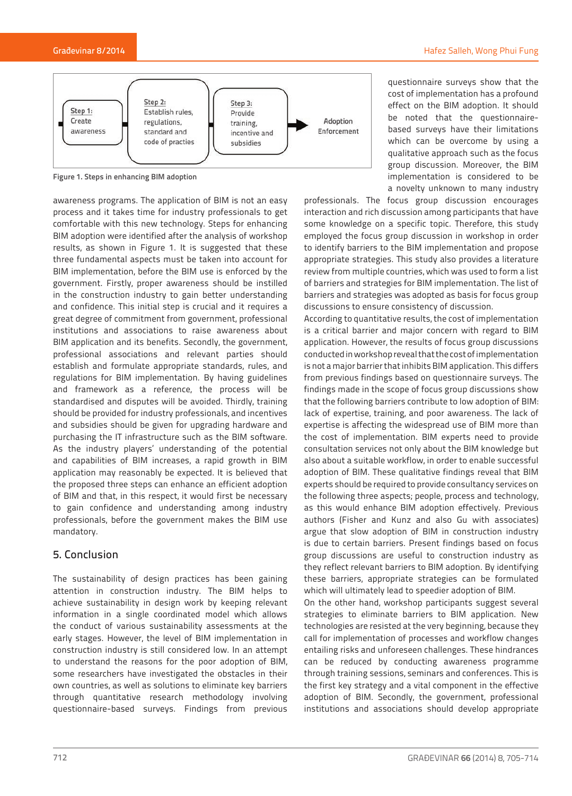

**Figure 1. Steps in enhancing BIM adoption**

awareness programs. The application of BIM is not an easy process and it takes time for industry professionals to get comfortable with this new technology. Steps for enhancing BIM adoption were identified after the analysis of workshop results, as shown in Figure 1. It is suggested that these three fundamental aspects must be taken into account for BIM implementation, before the BIM use is enforced by the government. Firstly, proper awareness should be instilled in the construction industry to gain better understanding and confidence. This initial step is crucial and it requires a great degree of commitment from government, professional institutions and associations to raise awareness about BIM application and its benefits. Secondly, the government, professional associations and relevant parties should establish and formulate appropriate standards, rules, and regulations for BIM implementation. By having guidelines and framework as a reference, the process will be standardised and disputes will be avoided. Thirdly, training should be provided for industry professionals, and incentives and subsidies should be given for upgrading hardware and purchasing the IT infrastructure such as the BIM software. As the industry players' understanding of the potential and capabilities of BIM increases, a rapid growth in BIM application may reasonably be expected. It is believed that the proposed three steps can enhance an efficient adoption of BIM and that, in this respect, it would first be necessary to gain confidence and understanding among industry professionals, before the government makes the BIM use mandatory.

## 5. Conclusion

The sustainability of design practices has been gaining attention in construction industry. The BIM helps to achieve sustainability in design work by keeping relevant information in a single coordinated model which allows the conduct of various sustainability assessments at the early stages. However, the level of BIM implementation in construction industry is still considered low. In an attempt to understand the reasons for the poor adoption of BIM, some researchers have investigated the obstacles in their own countries, as well as solutions to eliminate key barriers through quantitative research methodology involving questionnaire-based surveys. Findings from previous

questionnaire surveys show that the cost of implementation has a profound effect on the BIM adoption. It should be noted that the questionnairebased surveys have their limitations which can be overcome by using a qualitative approach such as the focus group discussion. Moreover, the BIM implementation is considered to be a novelty unknown to many industry

professionals. The focus group discussion encourages interaction and rich discussion among participants that have some knowledge on a specific topic. Therefore, this study employed the focus group discussion in workshop in order to identify barriers to the BIM implementation and propose appropriate strategies. This study also provides a literature review from multiple countries, which was used to form a list of barriers and strategies for BIM implementation. The list of barriers and strategies was adopted as basis for focus group discussions to ensure consistency of discussion.

According to quantitative results, the cost of implementation is a critical barrier and major concern with regard to BIM application. However, the results of focus group discussions conducted in workshop reveal that the cost of implementation is not a major barrier that inhibits BIM application. This differs from previous findings based on questionnaire surveys. The findings made in the scope of focus group discussions show that the following barriers contribute to low adoption of BIM: lack of expertise, training, and poor awareness. The lack of expertise is affecting the widespread use of BIM more than the cost of implementation. BIM experts need to provide consultation services not only about the BIM knowledge but also about a suitable workflow, in order to enable successful adoption of BIM. These qualitative findings reveal that BIM experts should be required to provide consultancy services on the following three aspects; people, process and technology, as this would enhance BIM adoption effectively. Previous authors (Fisher and Kunz and also Gu with associates) argue that slow adoption of BIM in construction industry is due to certain barriers. Present findings based on focus group discussions are useful to construction industry as they reflect relevant barriers to BIM adoption. By identifying these barriers, appropriate strategies can be formulated which will ultimately lead to speedier adoption of BIM.

On the other hand, workshop participants suggest several strategies to eliminate barriers to BIM application. New technologies are resisted at the very beginning, because they call for implementation of processes and workflow changes entailing risks and unforeseen challenges. These hindrances can be reduced by conducting awareness programme through training sessions, seminars and conferences. This is the first key strategy and a vital component in the effective adoption of BIM. Secondly, the government, professional institutions and associations should develop appropriate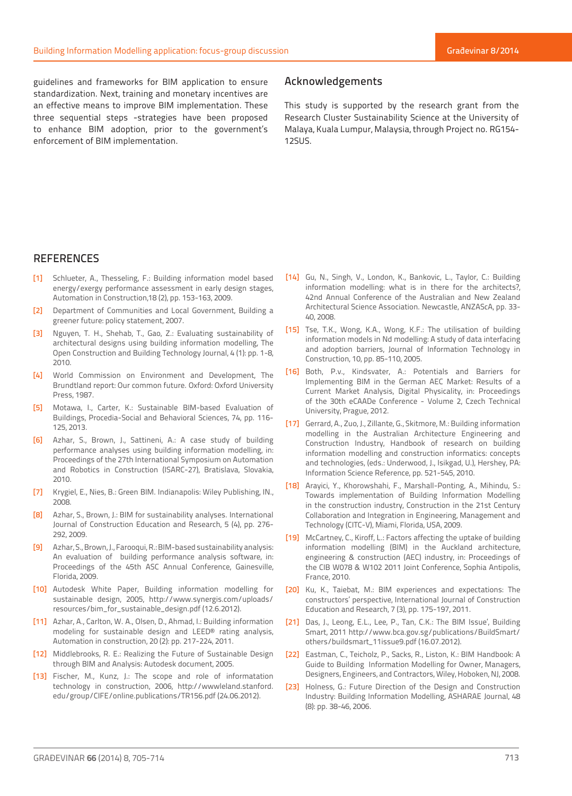guidelines and frameworks for BIM application to ensure standardization. Next, training and monetary incentives are an effective means to improve BIM implementation. These three sequential steps -strategies have been proposed to enhance BIM adoption, prior to the government's enforcement of BIM implementation.

## Acknowledgements

This study is supported by the research grant from the Research Cluster Sustainability Science at the University of Malaya, Kuala Lumpur, Malaysia, through Project no. RG154- 12SUS.

# **REFERENCES**

- [1] Schlueter, A., Thesseling, F.: Building information model based energy/exergy performance assessment in early design stages, Automation in Construction,18 (2), pp. 153-163, 2009.
- [2] Department of Communities and Local Government, Building a greener future: policy statement, 2007.
- [3] Nguyen, T. H., Shehab, T., Gao, Z.: Evaluating sustainability of architectural designs using building information modelling, The Open Construction and Building Technology Journal, 4 (1): pp. 1-8, 2010.
- [4] World Commission on Environment and Development, The Brundtland report: Our common future. Oxford: Oxford University Press, 1987.
- [5] Motawa, I., Carter, K.: Sustainable BIM-based Evaluation of Buildings, Procedia-Social and Behavioral Sciences, 74, pp. 116- 125, 2013.
- [6] Azhar, S., Brown, J., Sattineni, A.: A case study of building performance analyses using building information modelling, in: Proceedings of the 27th International Symposium on Automation and Robotics in Construction (ISARC-27), Bratislava, Slovakia, 2010.
- [7] Krygiel, E., Nies, B.: Green BIM. Indianapolis: Wiley Publishing, IN., 2008.
- [8] Azhar, S., Brown, J.: BIM for sustainability analyses. International Journal of Construction Education and Research, 5 (4), pp. 276- 292, 2009.
- [9] Azhar, S., Brown, J., Farooqui, R.: BIM-based sustainability analysis: An evaluation of building performance analysis software, in: Proceedings of the 45th ASC Annual Conference, Gainesville, Florida, 2009.
- [10] Autodesk White Paper, Building information modelling for sustainable design, 2005, http://www.synergis.com/uploads/ resources/bim\_for\_sustainable\_design.pdf (12.6.2012).
- [11] Azhar, A., Carlton, W. A., Olsen, D., Ahmad, I.: Building information modeling for sustainable design and LEED® rating analysis, Automation in construction, 20 (2): pp. 217-224, 2011.
- [12] Middlebrooks, R. E.: Realizing the Future of Sustainable Design through BIM and Analysis: Autodesk document, 2005.
- [13] Fischer, M., Kunz, J.: The scope and role of informatation technology in construction, 2006, http://wwwleland.stanford. edu/group/CIFE/online.publications/TR156.pdf (24.06.2012).
- [14] Gu, N., Singh, V., London, K., Bankovic, L., Taylor, C.: Building information modelling: what is in there for the architects?, 42nd Annual Conference of the Australian and New Zealand Architectural Science Association. Newcastle, ANZAScA, pp. 33- 40, 2008.
- [15] Tse, T.K., Wong, K.A., Wong, K.F.: The utilisation of building information models in Nd modelling: A study of data interfacing and adoption barriers, Journal of Information Technology in Construction, 10, pp. 85-110, 2005.
- [16] Both, P.v., Kindsvater, A.: Potentials and Barriers for Implementing BIM in the German AEC Market: Results of a Current Market Analysis, Digital Physicality, in: Proceedings of the 30th eCAADe Conference - Volume 2, Czech Technical University, Prague, 2012.
- [17] Gerrard, A., Zuo, J., Zillante, G., Skitmore, M.: Building information modelling in the Australian Architecture Engineering and Construction Industry, Handbook of research on building information modelling and construction informatics: concepts and technologies, (eds.: Underwood, J., Isikgad, U.), Hershey, PA: Information Science Reference, pp. 521-545, 2010.
- [18] Arayici, Y., Khorowshahi, F., Marshall-Ponting, A., Mihindu, S.: Towards implementation of Building Information Modelling in the construction industry, Construction in the 21st Century Collaboration and Integration in Engineering, Management and Technology (CITC-V), Miami, Florida, USA, 2009.
- [19] McCartney, C., Kiroff, L.: Factors affecting the uptake of building information modelling (BIM) in the Auckland architecture, engineering & construction (AEC) industry, in: Proceedings of the CIB W078 & W102 2011 Joint Conference, Sophia Antipolis, France, 2010.
- [20] Ku, K., Taiebat, M.: BIM experiences and expectations: The constructors' perspective, International Journal of Construction Education and Research, 7 (3), pp. 175-197, 2011.
- [21] Das, J., Leong, E.L., Lee, P., Tan, C.K.: The BIM Issue', Building Smart, 2011 http://www.bca.gov.sg/publications/BuildSmart/ others/buildsmart\_11issue9.pdf (16.07.2012).
- [22] Eastman, C., Teicholz, P., Sacks, R., Liston, K.: BIM Handbook: A Guide to Building Information Modelling for Owner, Managers, Designers, Engineers, and Contractors, Wiley, Hoboken, NJ, 2008.
- [23] Holness, G.: Future Direction of the Design and Construction Industry: Building Information Modelling, ASHARAE Journal, 48 (8): pp. 38-46, 2006.